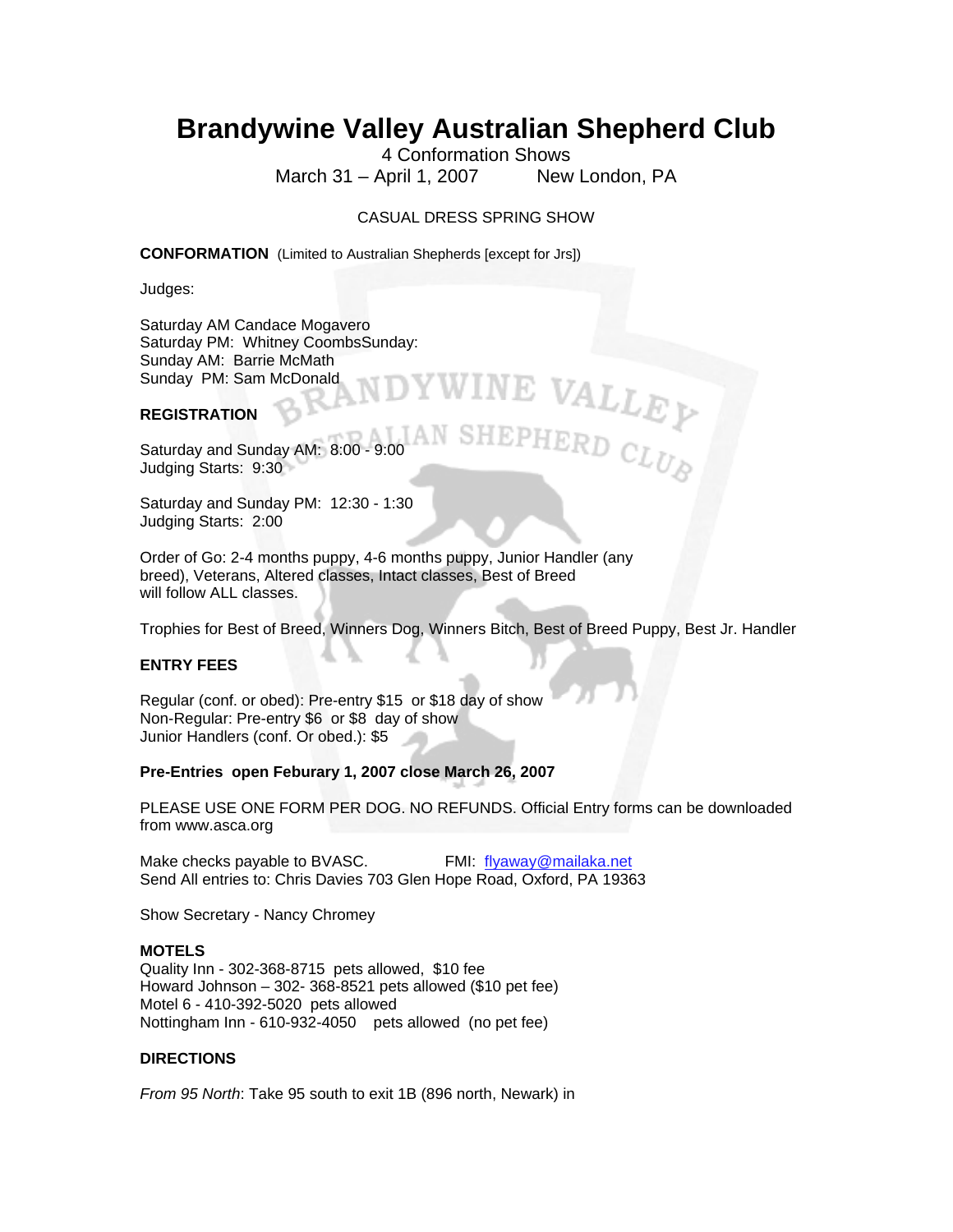# **Brandywine Valley Australian Shepherd Club**

4 Conformation Shows March 31 – April 1, 2007 New London, PA

E VALLEY

## CASUAL DRESS SPRING SHOW

**CONFORMATION** (Limited to Australian Shepherds [except for Jrs])

Judges:

Saturday AM Candace Mogavero Saturday PM: Whitney CoombsSunday: Sunday AM: Barrie McMath Sunday PM: Sam McDonald

## **REGISTRATION**

Saturday and Sunday AM: 8:00 - 9:00 Judging Starts: 9:30

Saturday and Sunday PM: 12:30 - 1:30 Judging Starts: 2:00

Order of Go: 2-4 months puppy, 4-6 months puppy, Junior Handler (any breed), Veterans, Altered classes, Intact classes, Best of Breed will follow ALL classes.

Trophies for Best of Breed, Winners Dog, Winners Bitch, Best of Breed Puppy, Best Jr. Handler

## **ENTRY FEES**

Regular (conf. or obed): Pre-entry \$15 or \$18 day of show Non-Regular: Pre-entry \$6 or \$8 day of show Junior Handlers (conf. Or obed.): \$5

### **Pre-Entries open Feburary 1, 2007 close March 26, 2007**

PLEASE USE ONE FORM PER DOG. NO REFUNDS. Official Entry forms can be downloaded from www.asca.org

Make checks payable to BVASC. FMI: flyaway@mailaka.net Send All entries to: Chris Davies 703 Glen Hope Road, Oxford, PA 19363

Show Secretary - Nancy Chromey

### **MOTELS**

Quality Inn - 302-368-8715 pets allowed, \$10 fee Howard Johnson – 302- 368-8521 pets allowed (\$10 pet fee) Motel 6 - 410-392-5020 pets allowed Nottingham Inn - 610-932-4050 pets allowed (no pet fee)

### **DIRECTIONS**

*From 95 North*: Take 95 south to exit 1B (896 north, Newark) in